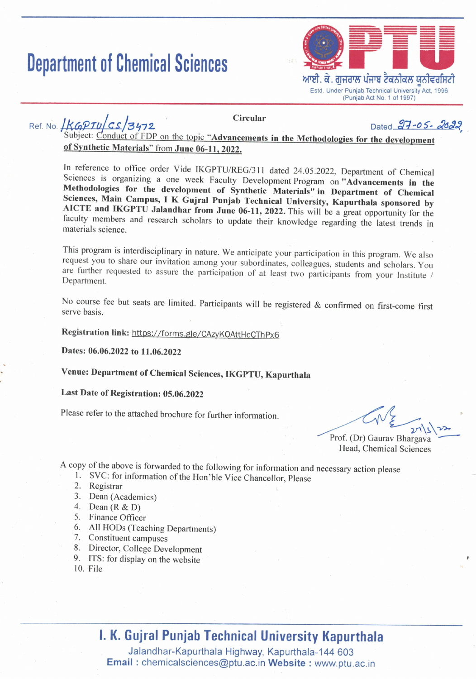# **Department of Chemical Sciences**



Ref. No.  $1KGPTUCS/3472$ 

**Circular** 

Dated 27-05-2020

Subject: Conduct of FDP on the topic "Advancements in the Methodologies for the development of Synthetic Materials" from June 06-11, 2022.

In reference to office order Vide IKGPTU/REG/311 dated 24.05.2022, Department of Chemical Sciences is organizing a one week Faculty Development Program on "Advancements in the Methodologies for the development of Synthetic Materials" in Department of Chemical Sciences, Main Campus, I K Gujral Punjab Technical University, Kapurthala sponsored by AICTE and IKGPTU Jalandhar from June 06-11, 2022. This will be a great opportunity for the faculty members and research scholars to update their knowledge regarding the latest trends in materials science

This program is interdisciplinary in nature. We anticipate your participation in this program. We also request you to share our invitation among your subordinates, colleagues, students and scholars. You are further requested to assure the participation of at least two participants from your Institute / Department.

No course fee but seats are limited. Participants will be registered & confirmed on first-come first serve basis.

Registration link: https://forms.gle/CAzyKQAttHcCThPx6

Dates: 06.06.2022 to 11.06.2022

Venue: Department of Chemical Sciences, IKGPTU, Kapurthala

# Last Date of Registration: 05.06.2022

Please refer to the attached brochure for further information.

Prof. (Dr) Gaurav Bhargava Head, Chemical Sciences

A copy of the above is forwarded to the following for information and necessary action please

- 1. SVC: for information of the Hon'ble Vice Chancellor, Please
- 2. Registrar
- 3. Dean (Academics)
- 4. Dean  $(R & D)$
- 5. Finance Officer
- 6. All HODs (Teaching Departments)
- 7. Constituent campuses
- 8. Director, College Development
- 9. ITS: for display on the website
- $10.$  File

# **I. K. Gujral Punjab Technical University Kapurthala**

Jalandhar-Kapurthala Highway, Kapurthala-144 603 **Email:** chemicalsciences@ptu.ac.in Website: www.ptu.ac.in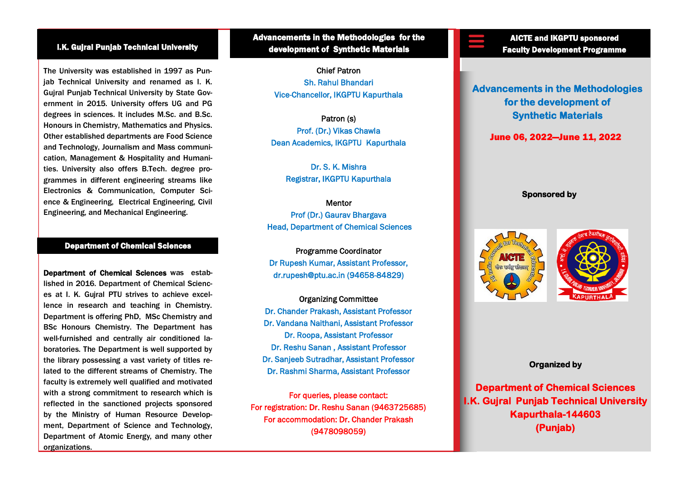### I.K. Gujral Punjab Technical University

The University was established in 1997 as Puniab Technical University and renamed as I. K. Gujral Punjab Technical University by State Government in 2015. University offers UG and PG degrees in sciences. It includes M.Sc. and B.Sc. Honours in Chemistry, Mathematics and Physics. Other established departments are Food Science and Technology, Journalism and Mass communication, Management & Hospitality and Humanities. University also offers B.Tech. degree programmes in different engineering streams like Electronics & Communication, Computer Science & Engineering, Electrical Engineering, Civil Engineering, and Mechanical Engineering.

#### Department of Chemical Sciences

Department of Chemical Sciences was established in 2016. Department of Chemical Sciences at I. K. Gujral PTU strives to achieve excellence in research and teaching in Chemistry. Department is offering PhD, MSc Chemistry and BSc Honours Chemistry. The Department has well-furnished and centrally air conditioned laboratories. The Department is well supported by the library possessing a vast variety of titles related to the different streams of Chemistry. The faculty is extremely well qualified and motivated with a strong commitment to research which is reflected in the sanctioned projects sponsored by the Ministry of Human Resource Development, Department of Science and Technology, Department of Atomic Energy, and many other organizations.

Advancements in the Methodologies for the development of Synthetic Materials

> Chief Patron Sh. Rahul Bhandari Vice-Chancellor, IKGPTU Kapurthala

Patron (s) Prof. (Dr.) Vikas Chawla Dean Academics, IKGPTU Kapurthala

> Dr. S. K. Mishra Registrar, IKGPTU Kapurthala

#### **Mentor**

Prof (Dr.) Gaurav Bhargava Head, Department of Chemical Sciences

Programme Coordinator Dr Rupesh Kumar, Assistant Professor, dr.rupesh@ptu.ac.in (94658-84829)

Organizing Committee Dr. Chander Prakash, Assistant Professor Dr. Vandana Naithani, Assistant Professor Dr. Roopa, Assistant Professor Dr. Reshu Sanan , Assistant Professor Dr. Sanjeeb Sutradhar, Assistant Professor Dr. Rashmi Sharma, Assistant Professor

For queries, please contact: For registration: Dr. Reshu Sanan (9463725685) For accommodation: Dr. Chander Prakash (9478098059)

AICTE and IKGPTU sponsored Faculty Development Programme

**Advancements in the Methodologies for the development of Synthetic Materials** 

June 06, 2022—June 11, 2022

#### **Sponsored by**





#### **Organized by**

**Department of Chemical Sciences I.K. Gujral Punjab Technical University Kapurthala-144603 (Punjab)**